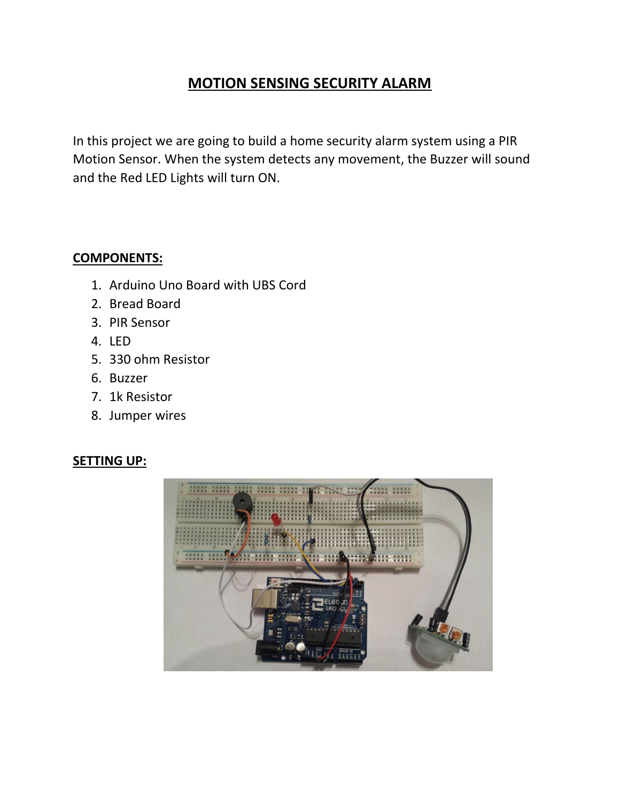## **MOTION SENSING SECURITY ALARM**

In this project we are going to build a home security alarm system using a PIR Motion Sensor. When the system detects any movement, the Buzzer will sound and the Red LED Lights will turn ON.

## **COMPONENTS:**

- 1. Arduino Uno Board with UBS Cord
- 2. Bread Board
- 3. PIR Sensor
- 4. LED
- 5. 330 ohm Resistor
- 6. Buzzer
- 7. 1k Resistor
- 8. Jumper wires

## **SETTING UP:**

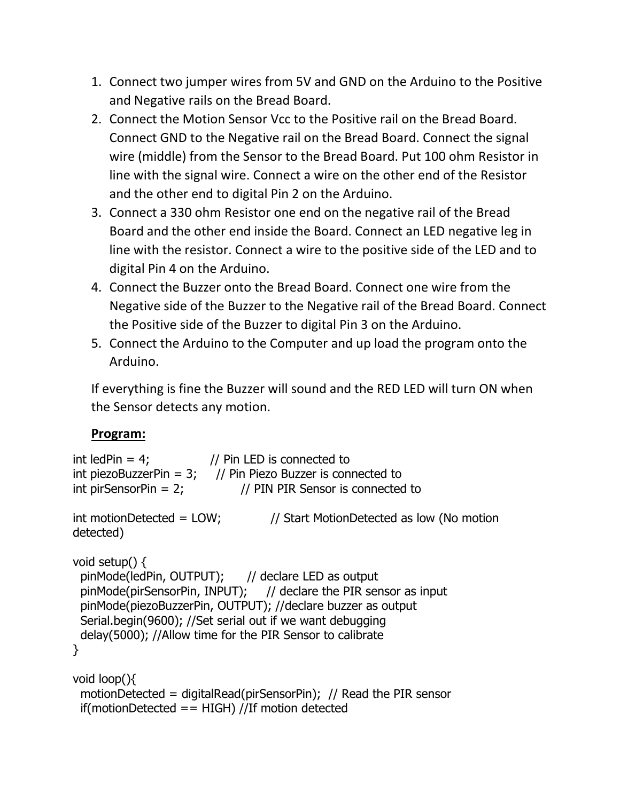- 1. Connect two jumper wires from 5V and GND on the Arduino to the Positive and Negative rails on the Bread Board.
- 2. Connect the Motion Sensor Vcc to the Positive rail on the Bread Board. Connect GND to the Negative rail on the Bread Board. Connect the signal wire (middle) from the Sensor to the Bread Board. Put 100 ohm Resistor in line with the signal wire. Connect a wire on the other end of the Resistor and the other end to digital Pin 2 on the Arduino.
- 3. Connect a 330 ohm Resistor one end on the negative rail of the Bread Board and the other end inside the Board. Connect an LED negative leg in line with the resistor. Connect a wire to the positive side of the LED and to digital Pin 4 on the Arduino.
- 4. Connect the Buzzer onto the Bread Board. Connect one wire from the Negative side of the Buzzer to the Negative rail of the Bread Board. Connect the Positive side of the Buzzer to digital Pin 3 on the Arduino.
- 5. Connect the Arduino to the Computer and up load the program onto the Arduino.

If everything is fine the Buzzer will sound and the RED LED will turn ON when the Sensor detects any motion.

## **Program:**

```
int ledPin = 4; // Pin LED is connected to
int piezoBuzzerPin = 3; // Pin Piezo Buzzer is connected to
int pirSensorPin = 2; \frac{1}{2} PIN PIR Sensor is connected to
int motionDetected = LOW; \frac{1}{15} Start MotionDetected as low (No motion
detected)
void setup() \{pinMode(ledPin, OUTPUT); // declare LED as output
 pinMode(pirSensorPin, INPUT); // declare the PIR sensor as input
 pinMode(piezoBuzzerPin, OUTPUT); //declare buzzer as output
 Serial.begin(9600); //Set serial out if we want debugging
 delay(5000); //Allow time for the PIR Sensor to calibrate
}
void loop(){
 motionDetected = digitalRead(pirSensorPin); // Read the PIR sensor
 if(motionDetected == HIGH) //If motion detected
```